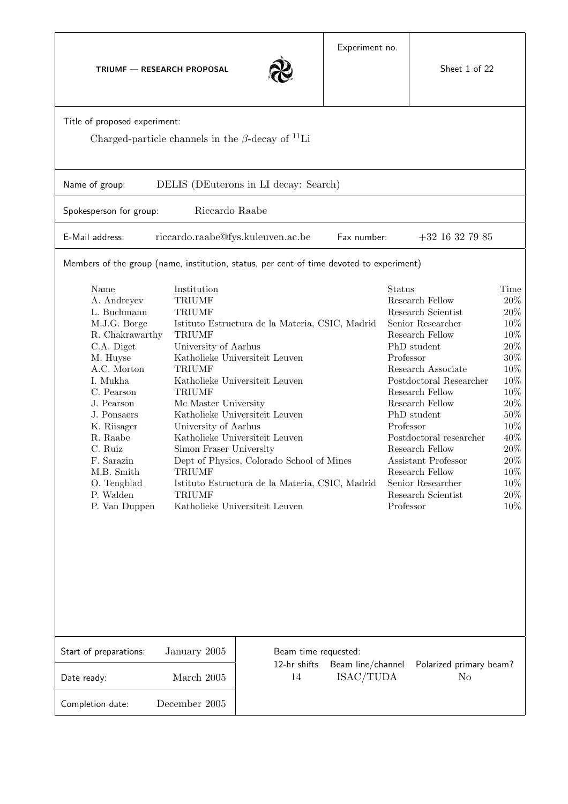TRIUMF — RESEARCH PROPOSAL



|                                                                                                                                                                                                                                                                                                                                                                                                                                                                                                                                                                                                                                                                                                                                                                                                                                                                                                                                                                                                                                                                                                                                                                                                                                                                                       |               | $\sim$                                                                               |             |                   |  |  |  |  |  |  |  |
|---------------------------------------------------------------------------------------------------------------------------------------------------------------------------------------------------------------------------------------------------------------------------------------------------------------------------------------------------------------------------------------------------------------------------------------------------------------------------------------------------------------------------------------------------------------------------------------------------------------------------------------------------------------------------------------------------------------------------------------------------------------------------------------------------------------------------------------------------------------------------------------------------------------------------------------------------------------------------------------------------------------------------------------------------------------------------------------------------------------------------------------------------------------------------------------------------------------------------------------------------------------------------------------|---------------|--------------------------------------------------------------------------------------|-------------|-------------------|--|--|--|--|--|--|--|
| Title of proposed experiment:<br>Charged-particle channels in the $\beta$ -decay of <sup>11</sup> Li                                                                                                                                                                                                                                                                                                                                                                                                                                                                                                                                                                                                                                                                                                                                                                                                                                                                                                                                                                                                                                                                                                                                                                                  |               |                                                                                      |             |                   |  |  |  |  |  |  |  |
| DELIS (DEuterons in LI decay: Search)<br>Name of group:                                                                                                                                                                                                                                                                                                                                                                                                                                                                                                                                                                                                                                                                                                                                                                                                                                                                                                                                                                                                                                                                                                                                                                                                                               |               |                                                                                      |             |                   |  |  |  |  |  |  |  |
| Riccardo Raabe<br>Spokesperson for group:                                                                                                                                                                                                                                                                                                                                                                                                                                                                                                                                                                                                                                                                                                                                                                                                                                                                                                                                                                                                                                                                                                                                                                                                                                             |               |                                                                                      |             |                   |  |  |  |  |  |  |  |
| E-Mail address:                                                                                                                                                                                                                                                                                                                                                                                                                                                                                                                                                                                                                                                                                                                                                                                                                                                                                                                                                                                                                                                                                                                                                                                                                                                                       |               | riccardo.raabe@fys.kuleuven.ac.be                                                    | Fax number: | $+32$ 16 32 79 85 |  |  |  |  |  |  |  |
| Members of the group (name, institution, status, per cent of time devoted to experiment)                                                                                                                                                                                                                                                                                                                                                                                                                                                                                                                                                                                                                                                                                                                                                                                                                                                                                                                                                                                                                                                                                                                                                                                              |               |                                                                                      |             |                   |  |  |  |  |  |  |  |
| <b>Name</b><br>Institution<br>Status<br><b>TRIUMF</b><br>Research Fellow<br>A. Andreyev<br>$\mathbf L.$ Buchmann<br><b>TRIUMF</b><br>Research Scientist<br>M.J.G. Borge<br>Senior Researcher<br>Istituto Estructura de la Materia, CSIC, Madrid<br>R. Chakrawarthy<br><b>TRIUMF</b><br>Research Fellow<br>University of Aarhus<br>PhD student<br>C.A. Diget<br>Katholieke Universiteit Leuven<br>M. Huyse<br>Professor<br>A.C. Morton<br><b>TRIUMF</b><br>Research Associate<br>I. Mukha<br>Katholieke Universiteit Leuven<br>Postdoctoral Researcher<br>C. Pearson<br><b>TRIUMF</b><br>Research Fellow<br>Research Fellow<br>J. Pearson<br>Mc Master University<br>J. Ponsaers<br>Katholieke Universiteit Leuven<br>PhD student<br>Professor<br>K. Riisager<br>University of Aarhus<br>R. Raabe<br>Katholieke Universiteit Leuven<br>Postdoctoral researcher<br>C. Ruiz<br>Simon Fraser University<br>Research Fellow<br>F. Sarazin<br>Dept of Physics, Colorado School of Mines<br>Assistant Professor<br>M.B. Smith<br><b>TRIUMF</b><br>Research Fellow<br>Senior Researcher<br>O. Tengblad<br>Istituto Estructura de la Materia, CSIC, Madrid<br>P. Walden<br><b>TRIUMF</b><br>Research Scientist<br>P. Van Duppen<br>Katholieke Universiteit Leuven<br>Professor<br>January 2005 |               |                                                                                      |             |                   |  |  |  |  |  |  |  |
| Start of preparations:                                                                                                                                                                                                                                                                                                                                                                                                                                                                                                                                                                                                                                                                                                                                                                                                                                                                                                                                                                                                                                                                                                                                                                                                                                                                |               | Beam time requested:<br>12-hr shifts<br>Beam line/channel<br>Polarized primary beam? |             |                   |  |  |  |  |  |  |  |
| Date ready:                                                                                                                                                                                                                                                                                                                                                                                                                                                                                                                                                                                                                                                                                                                                                                                                                                                                                                                                                                                                                                                                                                                                                                                                                                                                           | March 2005    | 14<br>ISAC/TUDA<br>No                                                                |             |                   |  |  |  |  |  |  |  |
| Completion date:                                                                                                                                                                                                                                                                                                                                                                                                                                                                                                                                                                                                                                                                                                                                                                                                                                                                                                                                                                                                                                                                                                                                                                                                                                                                      | December 2005 |                                                                                      |             |                   |  |  |  |  |  |  |  |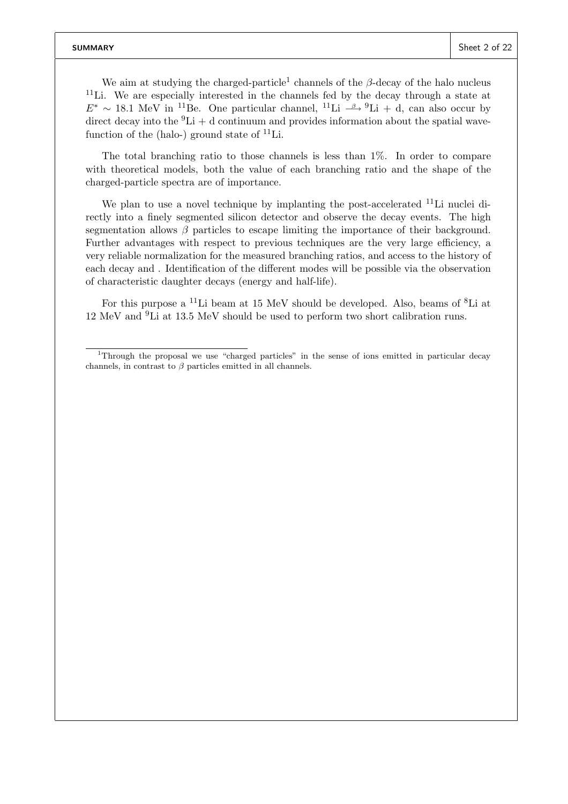We aim at studying the charged-particle<sup>1</sup> channels of the  $\beta$ -decay of the halo nucleus  $11$ Li. We are especially interested in the channels fed by the decay through a state at  $E^* \sim 18.1$  MeV in <sup>11</sup>Be. One particular channel, <sup>11</sup>Li  $\stackrel{\beta}{\longrightarrow} {}^9\text{Li} + d$ , can also occur by direct decay into the  ${}^{9}Li + d$  continuum and provides information about the spatial wavefunction of the (halo-) ground state of  $^{11}$ Li.

The total branching ratio to those channels is less than 1%. In order to compare with theoretical models, both the value of each branching ratio and the shape of the charged-particle spectra are of importance.

We plan to use a novel technique by implanting the post-accelerated  $^{11}$ Li nuclei directly into a finely segmented silicon detector and observe the decay events. The high segmentation allows  $\beta$  particles to escape limiting the importance of their background. Further advantages with respect to previous techniques are the very large efficiency, a very reliable normalization for the measured branching ratios, and access to the history of each decay and . Identification of the different modes will be possible via the observation of characteristic daughter decays (energy and half-life).

For this purpose a <sup>11</sup>Li beam at 15 MeV should be developed. Also, beams of <sup>8</sup>Li at 12 MeV and <sup>9</sup>Li at 13.5 MeV should be used to perform two short calibration runs.

<sup>1</sup>Through the proposal we use "charged particles" in the sense of ions emitted in particular decay channels, in contrast to  $\beta$  particles emitted in all channels.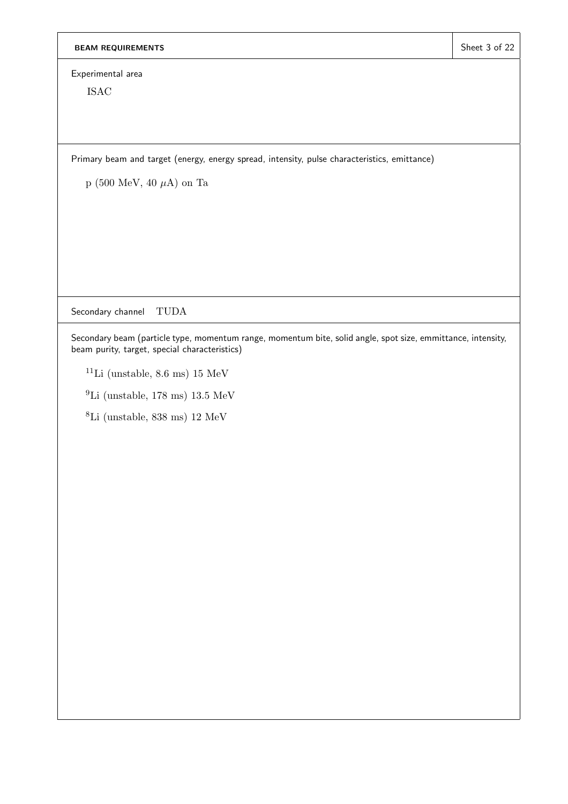Experimental area

ISAC

Primary beam and target (energy, energy spread, intensity, pulse characteristics, emittance)

p (500 MeV, 40  $\mu$ A) on Ta

Secondary channel TUDA

Secondary beam (particle type, momentum range, momentum bite, solid angle, spot size, emmittance, intensity, beam purity, target, special characteristics)

- <sup>11</sup>Li (unstable, 8.6 ms) 15 MeV
- $^{9}$ Li (unstable, 178 ms) 13.5 MeV
- <sup>8</sup>Li (unstable, 838 ms) 12 MeV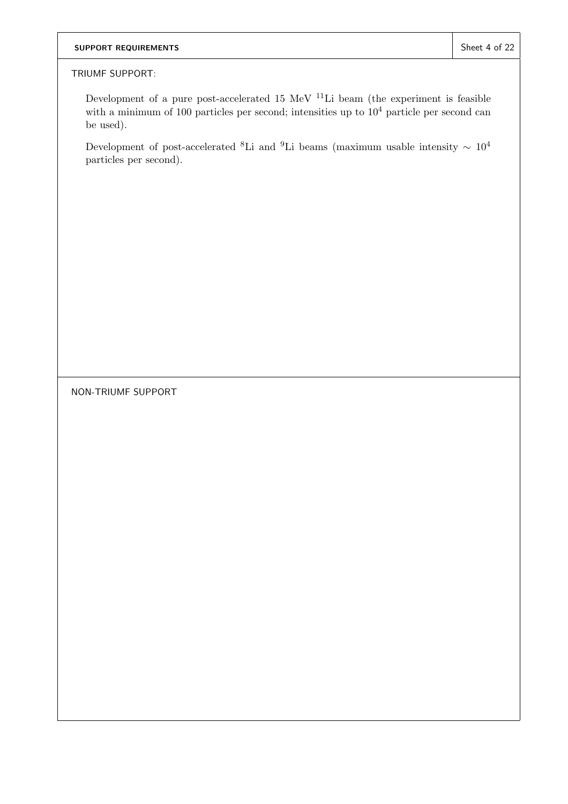# SUPPORT REQUIREMENTS SUPPORT REQUIREMENTS

## TRIUMF SUPPORT:

Development of a pure post-accelerated 15 MeV  $^{11}{\rm Li}$  beam (the experiment is feasible with a minimum of 100 particles per second; intensities up to  $10^4$  particle per second can be used).

Development of post-accelerated <sup>8</sup>Li and <sup>9</sup>Li beams (maximum usable intensity  $\sim 10^4$ particles per second).

NON-TRIUMF SUPPORT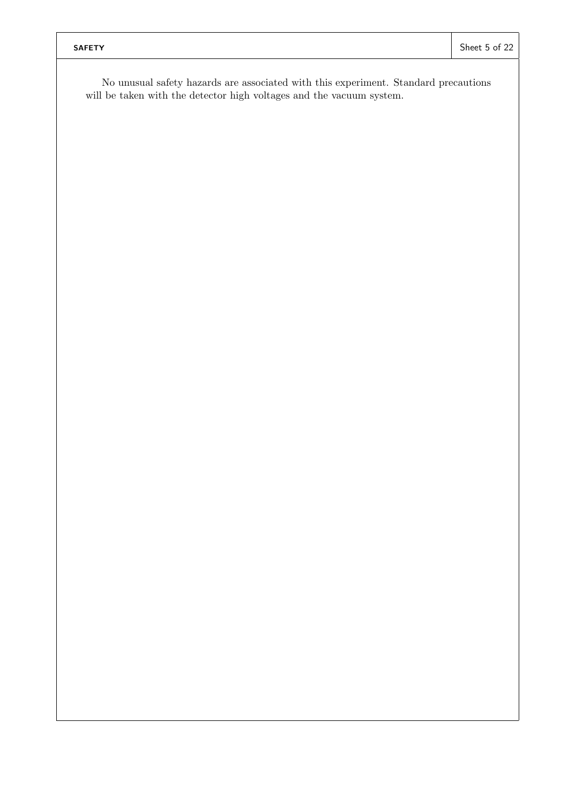No unusual safety hazards are associated with this experiment. Standard precautions will be taken with the detector high voltages and the vacuum system.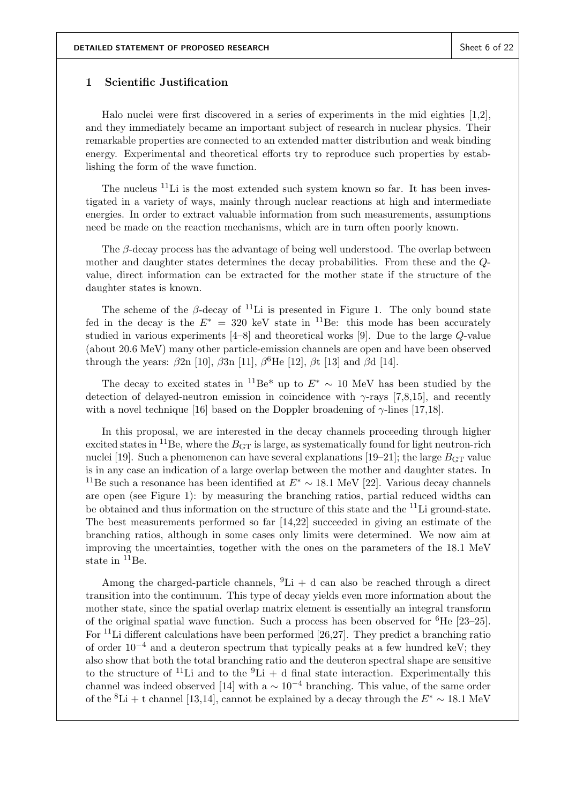## 1 Scientific Justification

Halo nuclei were first discovered in a series of experiments in the mid eighties [1,2], and they immediately became an important subject of research in nuclear physics. Their remarkable properties are connected to an extended matter distribution and weak binding energy. Experimental and theoretical efforts try to reproduce such properties by establishing the form of the wave function.

The nucleus  $11$ Li is the most extended such system known so far. It has been investigated in a variety of ways, mainly through nuclear reactions at high and intermediate energies. In order to extract valuable information from such measurements, assumptions need be made on the reaction mechanisms, which are in turn often poorly known.

The  $\beta$ -decay process has the advantage of being well understood. The overlap between mother and daughter states determines the decay probabilities. From these and the Qvalue, direct information can be extracted for the mother state if the structure of the daughter states is known.

The scheme of the β-decay of <sup>11</sup>Li is presented in Figure 1. The only bound state fed in the decay is the  $E^* = 320$  keV state in <sup>11</sup>Be: this mode has been accurately studied in various experiments [4–8] and theoretical works [9]. Due to the large Q-value (about 20.6 MeV) many other particle-emission channels are open and have been observed through the years:  $\beta$ 2n [10],  $\beta$ 3n [11],  $\beta$ <sup>6</sup>He [12],  $\beta$ t [13] and  $\beta$ d [14].

The decay to excited states in <sup>11</sup>Be<sup>\*</sup> up to  $E^* \sim 10$  MeV has been studied by the detection of delayed-neutron emission in coincidence with  $\gamma$ -rays [7,8,15], and recently with a novel technique [16] based on the Doppler broadening of  $\gamma$ -lines [17,18].

In this proposal, we are interested in the decay channels proceeding through higher excited states in <sup>11</sup>Be, where the  $B<sub>GT</sub>$  is large, as systematically found for light neutron-rich nuclei [19]. Such a phenomenon can have several explanations [19–21]; the large  $B_{GT}$  value is in any case an indication of a large overlap between the mother and daughter states. In <sup>11</sup>Be such a resonance has been identified at  $E^* \sim 18.1$  MeV [22]. Various decay channels are open (see Figure 1): by measuring the branching ratios, partial reduced widths can be obtained and thus information on the structure of this state and the <sup>11</sup>Li ground-state. The best measurements performed so far [14,22] succeeded in giving an estimate of the branching ratios, although in some cases only limits were determined. We now aim at improving the uncertainties, together with the ones on the parameters of the 18.1 MeV state in <sup>11</sup>Be.

Among the charged-particle channels,  ${}^{9}Li + d$  can also be reached through a direct transition into the continuum. This type of decay yields even more information about the mother state, since the spatial overlap matrix element is essentially an integral transform of the original spatial wave function. Such a process has been observed for  ${}^{6}$ He [23–25]. For  $11$  Li different calculations have been performed [26,27]. They predict a branching ratio of order  $10^{-4}$  and a deuteron spectrum that typically peaks at a few hundred keV; they also show that both the total branching ratio and the deuteron spectral shape are sensitive to the structure of <sup>11</sup>Li and to the <sup>9</sup>Li + d final state interaction. Experimentally this channel was indeed observed [14] with a  $\sim 10^{-4}$  branching. This value, of the same order of the <sup>8</sup>Li + t channel [13,14], cannot be explained by a decay through the  $E^* \sim 18.1$  MeV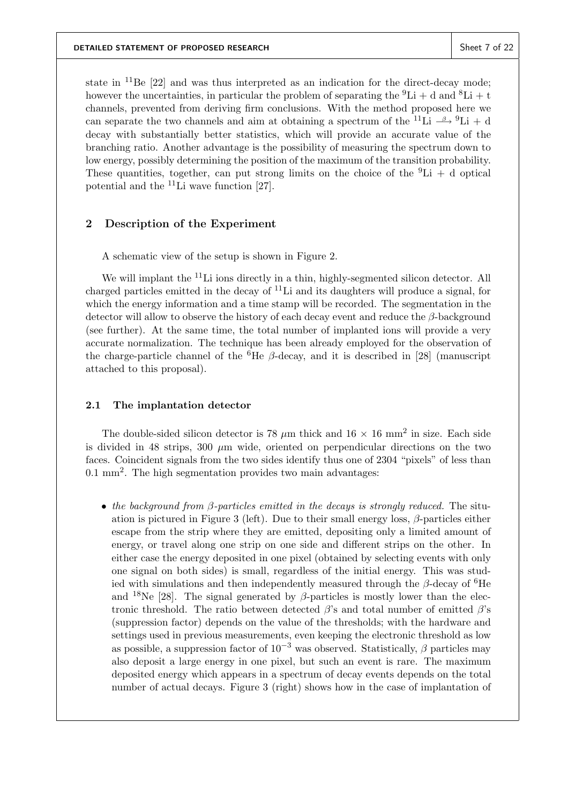state in  ${}^{11}$ Be [22] and was thus interpreted as an indication for the direct-decay mode; however the uncertainties, in particular the problem of separating the  ${}^{9}Li + d$  and  ${}^{8}Li + t$ channels, prevented from deriving firm conclusions. With the method proposed here we can separate the two channels and aim at obtaining a spectrum of the <sup>11</sup>Li  $-\beta$  <sup>9</sup>Li + d decay with substantially better statistics, which will provide an accurate value of the branching ratio. Another advantage is the possibility of measuring the spectrum down to low energy, possibly determining the position of the maximum of the transition probability. These quantities, together, can put strong limits on the choice of the  ${}^{9}Li + d$  optical potential and the  $^{11}$ Li wave function [27].

## 2 Description of the Experiment

A schematic view of the setup is shown in Figure 2.

We will implant the <sup>11</sup>Li ions directly in a thin, highly-segmented silicon detector. All charged particles emitted in the decay of  $^{11}$ Li and its daughters will produce a signal, for which the energy information and a time stamp will be recorded. The segmentation in the detector will allow to observe the history of each decay event and reduce the  $\beta$ -background (see further). At the same time, the total number of implanted ions will provide a very accurate normalization. The technique has been already employed for the observation of the charge-particle channel of the <sup>6</sup>He  $\beta$ -decay, and it is described in [28] (manuscript attached to this proposal).

## 2.1 The implantation detector

The double-sided silicon detector is 78  $\mu$ m thick and 16  $\times$  16 mm<sup>2</sup> in size. Each side is divided in 48 strips,  $300 \mu m$  wide, oriented on perpendicular directions on the two faces. Coincident signals from the two sides identify thus one of 2304 "pixels" of less than  $0.1 \text{ mm}^2$ . The high segmentation provides two main advantages:

• the background from  $\beta$ -particles emitted in the decays is strongly reduced. The situation is pictured in Figure 3 (left). Due to their small energy loss,  $\beta$ -particles either escape from the strip where they are emitted, depositing only a limited amount of energy, or travel along one strip on one side and different strips on the other. In either case the energy deposited in one pixel (obtained by selecting events with only one signal on both sides) is small, regardless of the initial energy. This was studied with simulations and then independently measured through the  $\beta$ -decay of <sup>6</sup>He and <sup>18</sup>Ne [28]. The signal generated by  $\beta$ -particles is mostly lower than the electronic threshold. The ratio between detected  $\beta$ 's and total number of emitted  $\beta$ 's (suppression factor) depends on the value of the thresholds; with the hardware and settings used in previous measurements, even keeping the electronic threshold as low as possible, a suppression factor of  $10^{-3}$  was observed. Statistically,  $\beta$  particles may also deposit a large energy in one pixel, but such an event is rare. The maximum deposited energy which appears in a spectrum of decay events depends on the total number of actual decays. Figure 3 (right) shows how in the case of implantation of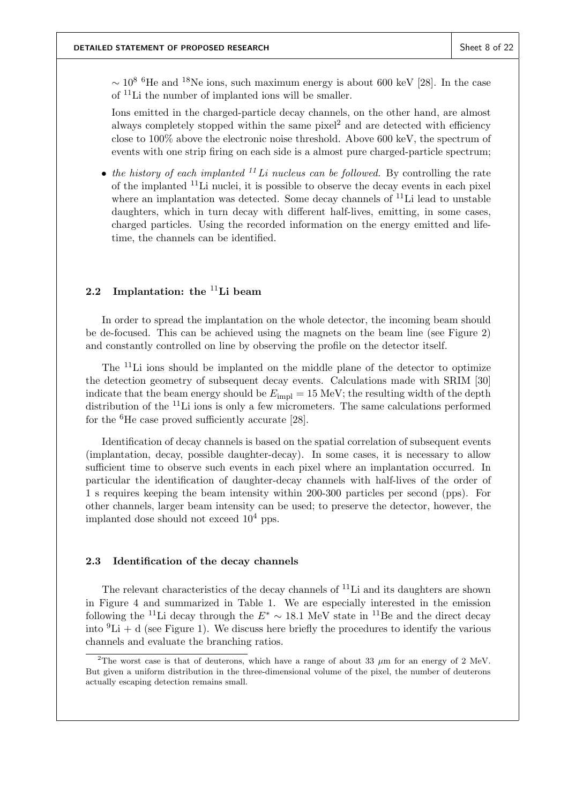$\sim 10^{8}$  <sup>6</sup>He and <sup>18</sup>Ne ions, such maximum energy is about 600 keV [28]. In the case of <sup>11</sup>Li the number of implanted ions will be smaller.

Ions emitted in the charged-particle decay channels, on the other hand, are almost always completely stopped within the same pixel<sup>2</sup> and are detected with efficiency close to 100% above the electronic noise threshold. Above 600 keV, the spectrum of events with one strip firing on each side is a almost pure charged-particle spectrum;

• the history of each implanted  $^{11}Li$  nucleus can be followed. By controlling the rate of the implanted  $11$ Li nuclei, it is possible to observe the decay events in each pixel where an implantation was detected. Some decay channels of  $^{11}$ Li lead to unstable daughters, which in turn decay with different half-lives, emitting, in some cases, charged particles. Using the recorded information on the energy emitted and lifetime, the channels can be identified.

# 2.2 Implantation: the  $11$ Li beam

In order to spread the implantation on the whole detector, the incoming beam should be de-focused. This can be achieved using the magnets on the beam line (see Figure 2) and constantly controlled on line by observing the profile on the detector itself.

The <sup>11</sup>Li ions should be implanted on the middle plane of the detector to optimize the detection geometry of subsequent decay events. Calculations made with SRIM [30] indicate that the beam energy should be  $E_{\text{impl}} = 15 \text{ MeV}$ ; the resulting width of the depth distribution of the <sup>11</sup>Li ions is only a few micrometers. The same calculations performed for the  ${}^{6}$ He case proved sufficiently accurate [28].

Identification of decay channels is based on the spatial correlation of subsequent events (implantation, decay, possible daughter-decay). In some cases, it is necessary to allow sufficient time to observe such events in each pixel where an implantation occurred. In particular the identification of daughter-decay channels with half-lives of the order of 1 s requires keeping the beam intensity within 200-300 particles per second (pps). For other channels, larger beam intensity can be used; to preserve the detector, however, the implanted dose should not exceed  $10^4$  pps.

### 2.3 Identification of the decay channels

The relevant characteristics of the decay channels of  $^{11}$ Li and its daughters are shown in Figure 4 and summarized in Table 1. We are especially interested in the emission following the <sup>11</sup>Li decay through the  $E^* \sim 18.1$  MeV state in <sup>11</sup>Be and the direct decay into  ${}^{9}Li + d$  (see Figure 1). We discuss here briefly the procedures to identify the various channels and evaluate the branching ratios.

<sup>&</sup>lt;sup>2</sup>The worst case is that of deuterons, which have a range of about 33  $\mu$ m for an energy of 2 MeV. But given a uniform distribution in the three-dimensional volume of the pixel, the number of deuterons actually escaping detection remains small.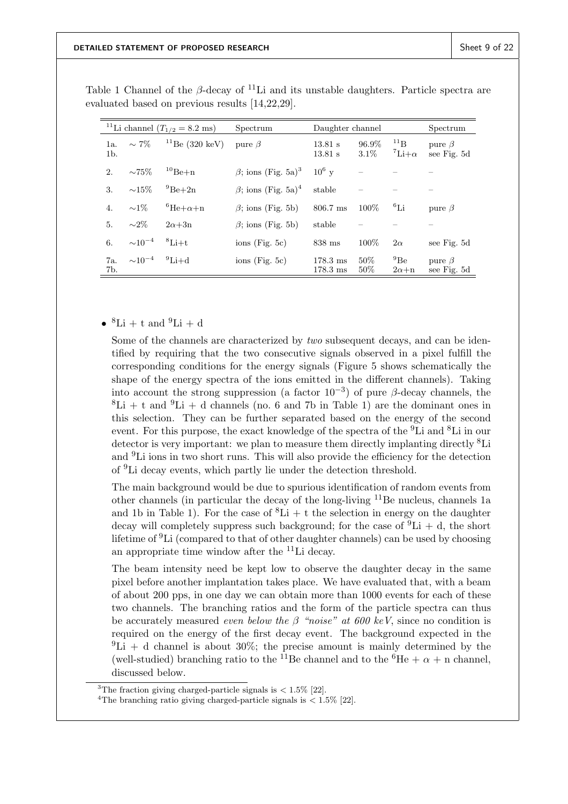| <sup>11</sup> Li channel ( $T_{1/2} = 8.2$ ms) |                                  | Spectrum              | Daughter channel                      |                                          | Spectrum         |                                   |                             |
|------------------------------------------------|----------------------------------|-----------------------|---------------------------------------|------------------------------------------|------------------|-----------------------------------|-----------------------------|
| 1a.<br>$1b$ .                                  | $\sim 7\%$                       | $^{11}$ Be (320 keV)  | pure $\beta$                          | 13.81 s<br>13.81 s                       | 96.9%<br>$3.1\%$ | $^{11}$ B<br>$\mathrm{Li}+\alpha$ | pure $\beta$<br>see Fig. 5d |
| 2.                                             | $\sim75\%$                       | $^{10}$ Be+n          | $\beta$ ; ions (Fig. 5a) <sup>3</sup> | $10^6$ y                                 |                  |                                   |                             |
| 3.                                             | $\sim15\%$                       | $^{9}$ Be+2n          | $\beta$ ; ions (Fig. 5a) <sup>4</sup> | stable                                   |                  |                                   |                             |
| 4.                                             | $\sim1\%$                        | ${}^6He + \alpha + n$ | $\beta$ ; ions (Fig. 5b)              | 806.7 ms                                 | 100\%            | ${}^{6}$ Li                       | pure $\beta$                |
| 5.                                             | $\sim$ 2\%                       | $2\alpha + 3n$        | $\beta$ ; ions (Fig. 5b)              | stable                                   |                  |                                   |                             |
| 6.                                             | $\sim$ 10 <sup>-4</sup>          | ${}^{8}$ Li+t         | $ions$ (Fig. 5c)                      | $838$ ms                                 | 100\%            | $2\alpha$                         | see Fig. 5d                 |
| 7a.<br>7b.                                     | $\sim 10^{-4}$ <sup>9</sup> Li+d |                       | $ions$ (Fig. 5c)                      | $178.3 \text{ ms}$<br>$178.3 \text{ ms}$ | 50%<br>$50\%$    | $^{9}$ Be<br>$2\alpha+n$          | pure $\beta$<br>see Fig. 5d |

Table 1 Channel of the  $\beta$ -decay of <sup>11</sup>Li and its unstable daughters. Particle spectra are evaluated based on previous results [14,22,29].

•  ${}^{8}\text{Li} + \text{t}$  and  ${}^{9}\text{Li} + \text{d}$ 

Some of the channels are characterized by *two* subsequent decays, and can be identified by requiring that the two consecutive signals observed in a pixel fulfill the corresponding conditions for the energy signals (Figure 5 shows schematically the shape of the energy spectra of the ions emitted in the different channels). Taking into account the strong suppression (a factor  $10^{-3}$ ) of pure β-decay channels, the  ${}^{8}$ Li + t and  ${}^{9}$ Li + d channels (no. 6 and 7b in Table 1) are the dominant ones in this selection. They can be further separated based on the energy of the second event. For this purpose, the exact knowledge of the spectra of the <sup>9</sup>Li and <sup>8</sup>Li in our detector is very important: we plan to measure them directly implanting directly  ${}^{8}$ Li and <sup>9</sup>Li ions in two short runs. This will also provide the efficiency for the detection of <sup>9</sup>Li decay events, which partly lie under the detection threshold.

The main background would be due to spurious identification of random events from other channels (in particular the decay of the long-living  $11$ Be nucleus, channels 1a and 1b in Table 1). For the case of  ${}^{8}Li + t$  the selection in energy on the daughter decay will completely suppress such background; for the case of  ${}^{9}Li + d$ , the short lifetime of  ${}^{9}Li$  (compared to that of other daughter channels) can be used by choosing an appropriate time window after the  $^{11}$ Li decay.

The beam intensity need be kept low to observe the daughter decay in the same pixel before another implantation takes place. We have evaluated that, with a beam of about 200 pps, in one day we can obtain more than 1000 events for each of these two channels. The branching ratios and the form of the particle spectra can thus be accurately measured *even below the*  $\beta$  "noise" at 600 keV, since no condition is required on the energy of the first decay event. The background expected in the  ${}^{9}$ Li + d channel is about 30%; the precise amount is mainly determined by the (well-studied) branching ratio to the <sup>11</sup>Be channel and to the <sup>6</sup>He +  $\alpha$  + n channel, discussed below.

<sup>&</sup>lt;sup>3</sup>The fraction giving charged-particle signals is  $< 1.5\%$  [22].

<sup>&</sup>lt;sup>4</sup>The branching ratio giving charged-particle signals is  $\langle 1.5\% |22|$ .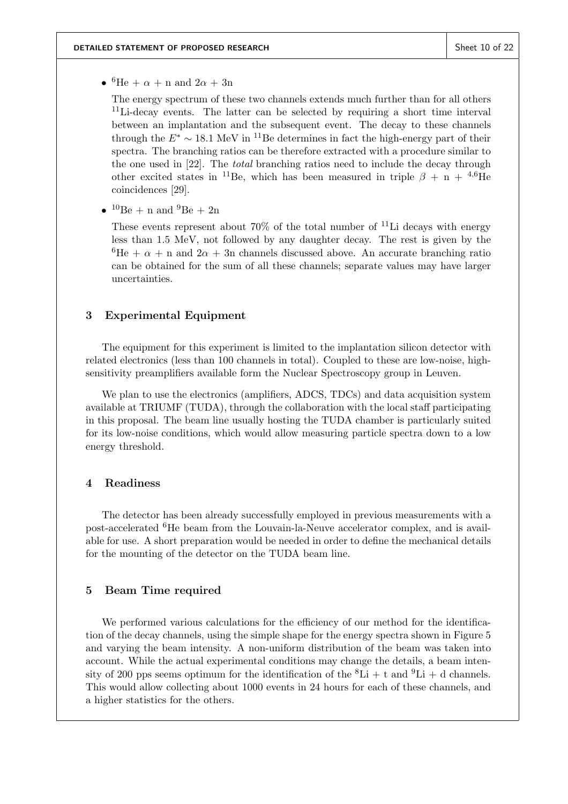•  ${}^{6}\text{He} + \alpha + \text{n}$  and  $2\alpha + 3\text{n}$ 

The energy spectrum of these two channels extends much further than for all others <sup>11</sup>Li-decay events. The latter can be selected by requiring a short time interval between an implantation and the subsequent event. The decay to these channels through the  $E^* \sim 18.1$  MeV in <sup>11</sup>Be determines in fact the high-energy part of their spectra. The branching ratios can be therefore extracted with a procedure similar to the one used in [22]. The total branching ratios need to include the decay through other excited states in <sup>11</sup>Be, which has been measured in triple  $\beta + n + {}^{4,6}He$ coincidences [29].

•  $^{10}$ Be + n and  $^{9}$ Be + 2n

These events represent about 70% of the total number of  $^{11}$ Li decays with energy less than 1.5 MeV, not followed by any daughter decay. The rest is given by the  ${}^{6}$ He +  $\alpha$  + n and  $2\alpha$  + 3n channels discussed above. An accurate branching ratio can be obtained for the sum of all these channels; separate values may have larger uncertainties.

### 3 Experimental Equipment

The equipment for this experiment is limited to the implantation silicon detector with related electronics (less than 100 channels in total). Coupled to these are low-noise, highsensitivity preamplifiers available form the Nuclear Spectroscopy group in Leuven.

We plan to use the electronics (amplifiers, ADCS, TDCs) and data acquisition system available at TRIUMF (TUDA), through the collaboration with the local staff participating in this proposal. The beam line usually hosting the TUDA chamber is particularly suited for its low-noise conditions, which would allow measuring particle spectra down to a low energy threshold.

### 4 Readiness

The detector has been already successfully employed in previous measurements with a post-accelerated <sup>6</sup>He beam from the Louvain-la-Neuve accelerator complex, and is available for use. A short preparation would be needed in order to define the mechanical details for the mounting of the detector on the TUDA beam line.

# 5 Beam Time required

We performed various calculations for the efficiency of our method for the identification of the decay channels, using the simple shape for the energy spectra shown in Figure 5 and varying the beam intensity. A non-uniform distribution of the beam was taken into account. While the actual experimental conditions may change the details, a beam intensity of 200 pps seems optimum for the identification of the  ${}^{8}Li + t$  and  ${}^{9}Li + d$  channels. This would allow collecting about 1000 events in 24 hours for each of these channels, and a higher statistics for the others.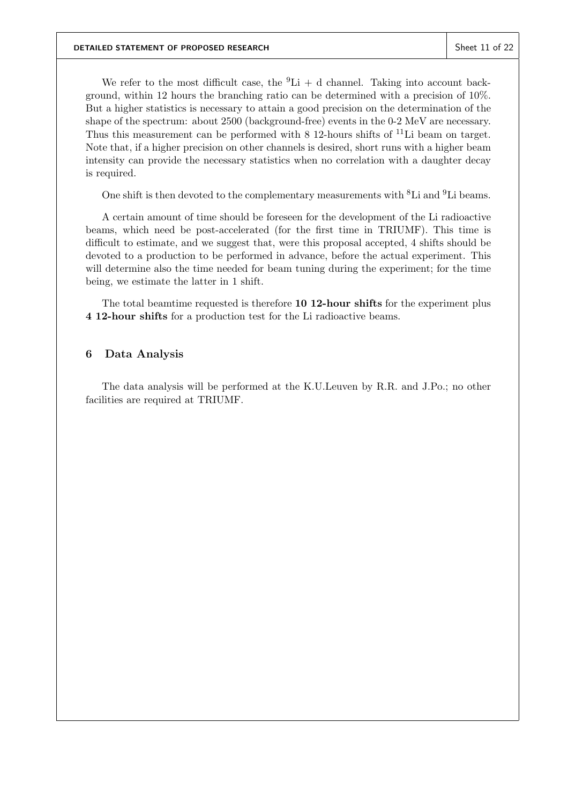We refer to the most difficult case, the  ${}^{9}Li + d$  channel. Taking into account background, within 12 hours the branching ratio can be determined with a precision of 10%. But a higher statistics is necessary to attain a good precision on the determination of the shape of the spectrum: about 2500 (background-free) events in the 0-2 MeV are necessary. Thus this measurement can be performed with  $8\ 12$ -hours shifts of  $^{11}$ Li beam on target. Note that, if a higher precision on other channels is desired, short runs with a higher beam intensity can provide the necessary statistics when no correlation with a daughter decay is required.

One shift is then devoted to the complementary measurements with  ${}^{8}$ Li and  ${}^{9}$ Li beams.

A certain amount of time should be foreseen for the development of the Li radioactive beams, which need be post-accelerated (for the first time in TRIUMF). This time is difficult to estimate, and we suggest that, were this proposal accepted, 4 shifts should be devoted to a production to be performed in advance, before the actual experiment. This will determine also the time needed for beam tuning during the experiment; for the time being, we estimate the latter in 1 shift.

The total beamtime requested is therefore 10 12-hour shifts for the experiment plus 4 12-hour shifts for a production test for the Li radioactive beams.

### 6 Data Analysis

The data analysis will be performed at the K.U.Leuven by R.R. and J.Po.; no other facilities are required at TRIUMF.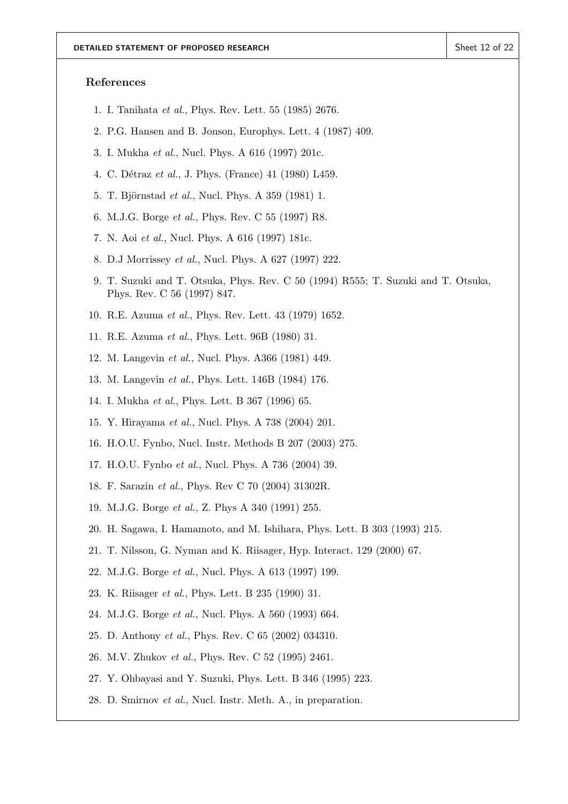#### References

- 1. I. Tanihata et al., Phys. Rev. Lett. 55 (1985) 2676.
- 2. P.G. Hansen and B. Jonson, Europhys. Lett. 4 (1987) 409.
- 3. I. Mukha et al., Nucl. Phys. A 616 (1997) 201c.
- 4. C. Détraz et al., J. Phys. (France) 41 (1980) L459.
- 5. T. Björnstad *et al.*, Nucl. Phys. A 359 (1981) 1.
- 6. M.J.G. Borge et al., Phys. Rev. C 55 (1997) R8.
- 7. N. Aoi et al., Nucl. Phys. A 616 (1997) 181c.
- 8. D.J Morrissey et al., Nucl. Phys. A 627 (1997) 222.
- 9. T. Suzuki and T. Otsuka, Phys. Rev. C 50 (1994) R555; T. Suzuki and T. Otsuka, Phys. Rev. C 56 (1997) 847.
- 10. R.E. Azuma et al., Phys. Rev. Lett. 43 (1979) 1652.
- 11. R.E. Azuma et al., Phys. Lett. 96B (1980) 31.
- 12. M. Langevin et al., Nucl. Phys. A366 (1981) 449.
- 13. M. Langevin et al., Phys. Lett. 146B (1984) 176.
- 14. I. Mukha et al., Phys. Lett. B 367 (1996) 65.
- 15. Y. Hirayama et al., Nucl. Phys. A 738 (2004) 201.
- 16. H.O.U. Fynbo, Nucl. Instr. Methods B 207 (2003) 275.
- 17. H.O.U. Fynbo et al., Nucl. Phys. A 736 (2004) 39.
- 18. F. Sarazin et al., Phys. Rev C 70 (2004) 31302R.
- 19. M.J.G. Borge et al., Z. Phys A 340 (1991) 255.
- 20. H. Sagawa, I. Hamamoto, and M. Ishihara, Phys. Lett. B 303 (1993) 215.
- 21. T. Nilsson, G. Nyman and K. Riisager, Hyp. Interact. 129 (2000) 67.
- 22. M.J.G. Borge et al., Nucl. Phys. A 613 (1997) 199.
- 23. K. Riisager et al., Phys. Lett. B 235 (1990) 31.
- 24. M.J.G. Borge et al., Nucl. Phys. A 560 (1993) 664.
- 25. D. Anthony et al., Phys. Rev. C 65 (2002) 034310.
- 26. M.V. Zhukov et al., Phys. Rev. C 52 (1995) 2461.
- 27. Y. Ohbayasi and Y. Suzuki, Phys. Lett. B 346 (1995) 223.
- 28. D. Smirnov et al., Nucl. Instr. Meth. A., in preparation.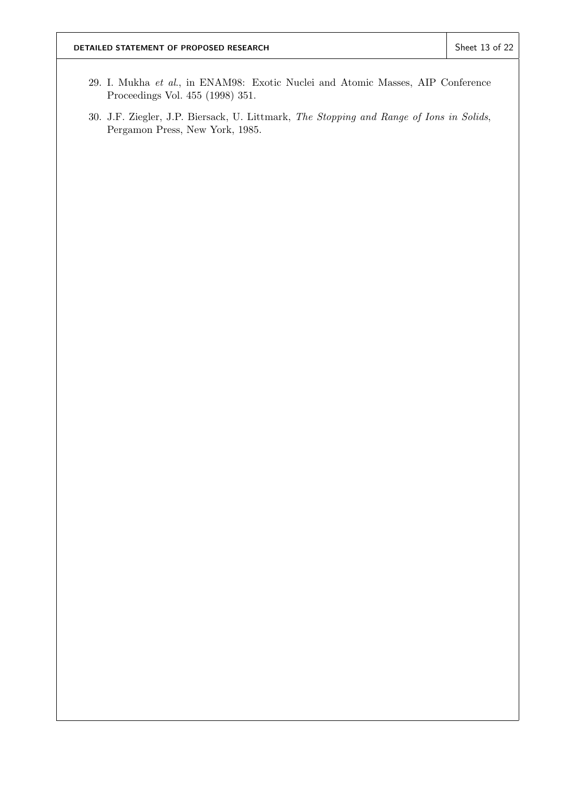- 29. I. Mukha et al., in ENAM98: Exotic Nuclei and Atomic Masses, AIP Conference Proceedings Vol. 455 (1998) 351.
- 30. J.F. Ziegler, J.P. Biersack, U. Littmark, The Stopping and Range of Ions in Solids, Pergamon Press, New York, 1985.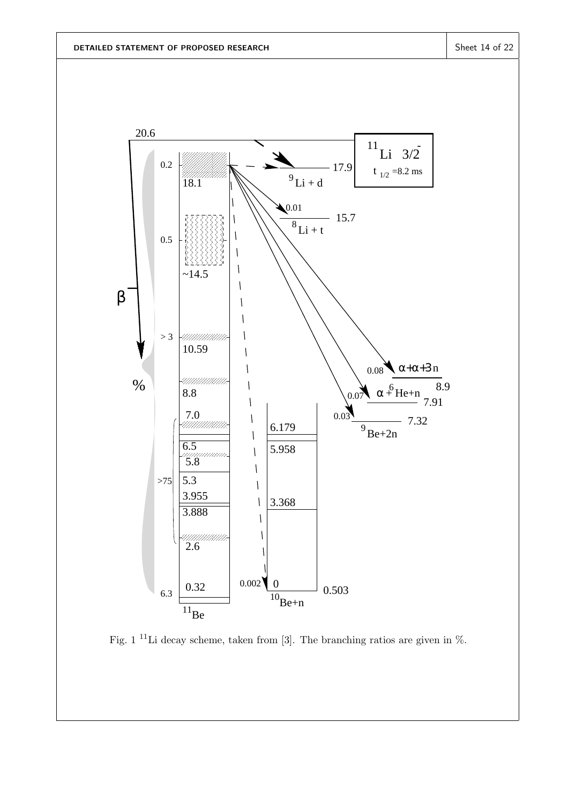

Fig. 1 <sup>11</sup>Li decay scheme, taken from [3]. The branching ratios are given in  $\%$ .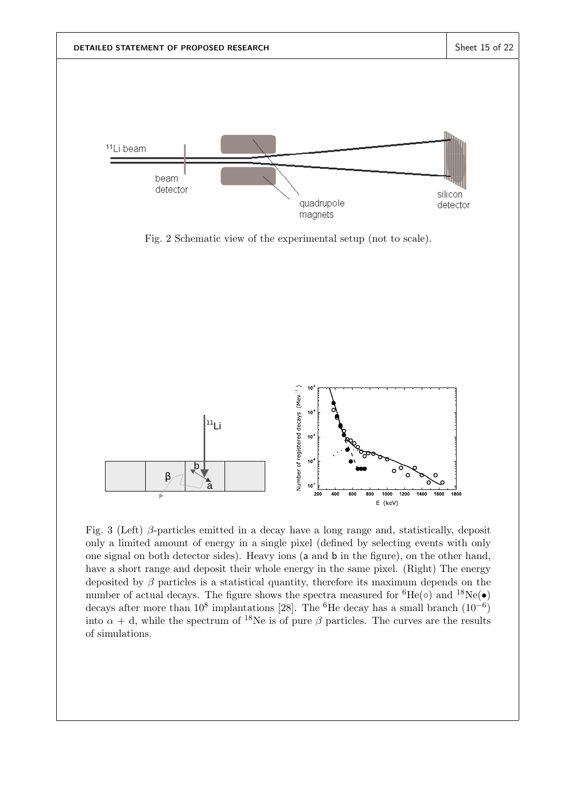

Fig. 3 (Left)  $\beta$ -particles emitted in a decay have a long range and, statistically, deposit only a limited amount of energy in a single pixel (defined by selecting events with only one signal on both detector sides). Heavy ions (a and b in the figure), on the other hand, have a short range and deposit their whole energy in the same pixel. (Right) The energy deposited by  $\beta$  particles is a statistical quantity, therefore its maximum depends on the number of actual decays. The figure shows the spectra measured for  ${}^{6}He(\circ)$  and  ${}^{18}Ne(\bullet)$ decays after more than  $10^8$  implantations [28]. The <sup>6</sup>He decay has a small branch  $(10^{-6})$ into  $\alpha + d$ , while the spectrum of <sup>18</sup>Ne is of pure  $\beta$  particles. The curves are the results of simulations.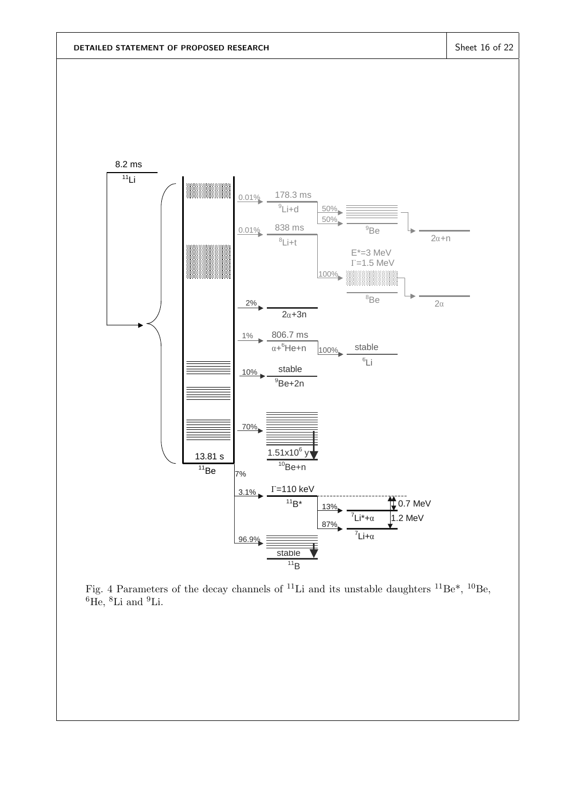

Fig. 4 Parameters of the decay channels of <sup>11</sup>Li and its unstable daughters <sup>11</sup>Be<sup>\*</sup>, <sup>10</sup>Be,  ${}^{6}$ He,  ${}^{8}$ Li and  ${}^{9}$ Li.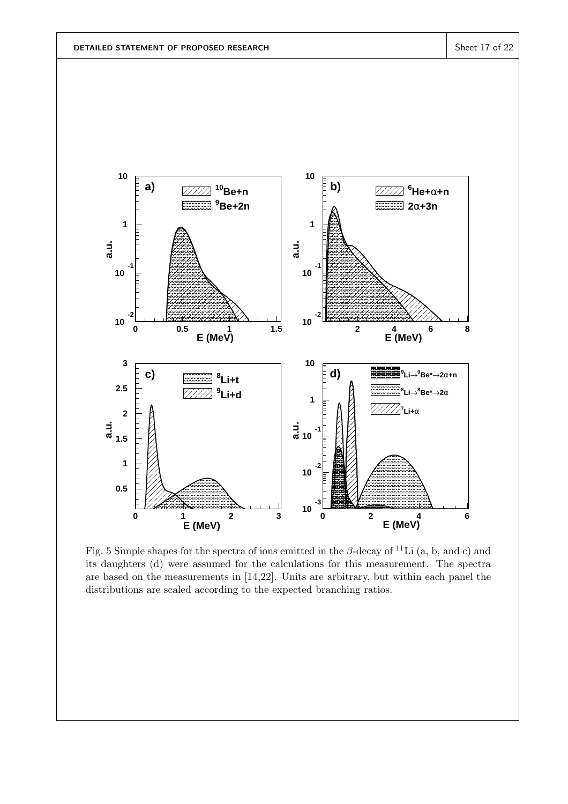

Fig. 5 Simple shapes for the spectra of ions emitted in the  $\beta$ -decay of <sup>11</sup>Li (a, b, and c) and its daughters (d) were assumed for the calculations for this measurement. The spectra are based on the measurements in [14,22]. Units are arbitrary, but within each panel the distributions are scaled according to the expected branching ratios.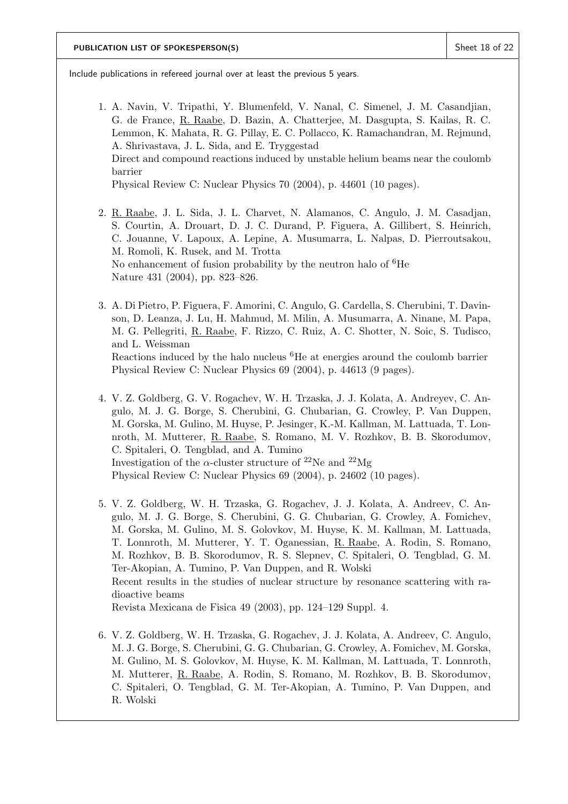Include publications in refereed journal over at least the previous 5 years.

- 1. A. Navin, V. Tripathi, Y. Blumenfeld, V. Nanal, C. Simenel, J. M. Casandjian, G. de France, R. Raabe, D. Bazin, A. Chatterjee, M. Dasgupta, S. Kailas, R. C. Lemmon, K. Mahata, R. G. Pillay, E. C. Pollacco, K. Ramachandran, M. Rejmund, A. Shrivastava, J. L. Sida, and E. Tryggestad Direct and compound reactions induced by unstable helium beams near the coulomb barrier Physical Review C: Nuclear Physics 70 (2004), p. 44601 (10 pages).
- 2. R. Raabe, J. L. Sida, J. L. Charvet, N. Alamanos, C. Angulo, J. M. Casadjan, S. Courtin, A. Drouart, D. J. C. Durand, P. Figuera, A. Gillibert, S. Heinrich, C. Jouanne, V. Lapoux, A. Lepine, A. Musumarra, L. Nalpas, D. Pierroutsakou, M. Romoli, K. Rusek, and M. Trotta No enhancement of fusion probability by the neutron halo of  ${}^{6}$ He Nature 431 (2004), pp. 823–826.
- 3. A. Di Pietro, P. Figuera, F. Amorini, C. Angulo, G. Cardella, S. Cherubini, T. Davinson, D. Leanza, J. Lu, H. Mahmud, M. Milin, A. Musumarra, A. Ninane, M. Papa, M. G. Pellegriti, R. Raabe, F. Rizzo, C. Ruiz, A. C. Shotter, N. Soic, S. Tudisco, and L. Weissman Reactions induced by the halo nucleus <sup>6</sup>He at energies around the coulomb barrier Physical Review C: Nuclear Physics 69 (2004), p. 44613 (9 pages).
- 4. V. Z. Goldberg, G. V. Rogachev, W. H. Trzaska, J. J. Kolata, A. Andreyev, C. Angulo, M. J. G. Borge, S. Cherubini, G. Chubarian, G. Crowley, P. Van Duppen, M. Gorska, M. Gulino, M. Huyse, P. Jesinger, K.-M. Kallman, M. Lattuada, T. Lonnroth, M. Mutterer, R. Raabe, S. Romano, M. V. Rozhkov, B. B. Skorodumov, C. Spitaleri, O. Tengblad, and A. Tumino Investigation of the  $\alpha$ -cluster structure of <sup>22</sup>Ne and <sup>22</sup>Mg Physical Review C: Nuclear Physics 69 (2004), p. 24602 (10 pages).
- 5. V. Z. Goldberg, W. H. Trzaska, G. Rogachev, J. J. Kolata, A. Andreev, C. Angulo, M. J. G. Borge, S. Cherubini, G. G. Chubarian, G. Crowley, A. Fomichev, M. Gorska, M. Gulino, M. S. Golovkov, M. Huyse, K. M. Kallman, M. Lattuada, T. Lonnroth, M. Mutterer, Y. T. Oganessian, R. Raabe, A. Rodin, S. Romano, M. Rozhkov, B. B. Skorodumov, R. S. Slepnev, C. Spitaleri, O. Tengblad, G. M. Ter-Akopian, A. Tumino, P. Van Duppen, and R. Wolski Recent results in the studies of nuclear structure by resonance scattering with radioactive beams Revista Mexicana de Fisica 49 (2003), pp. 124–129 Suppl. 4.
- 6. V. Z. Goldberg, W. H. Trzaska, G. Rogachev, J. J. Kolata, A. Andreev, C. Angulo, M. J. G. Borge, S. Cherubini, G. G. Chubarian, G. Crowley, A. Fomichev, M. Gorska, M. Gulino, M. S. Golovkov, M. Huyse, K. M. Kallman, M. Lattuada, T. Lonnroth, M. Mutterer, R. Raabe, A. Rodin, S. Romano, M. Rozhkov, B. B. Skorodumov, C. Spitaleri, O. Tengblad, G. M. Ter-Akopian, A. Tumino, P. Van Duppen, and R. Wolski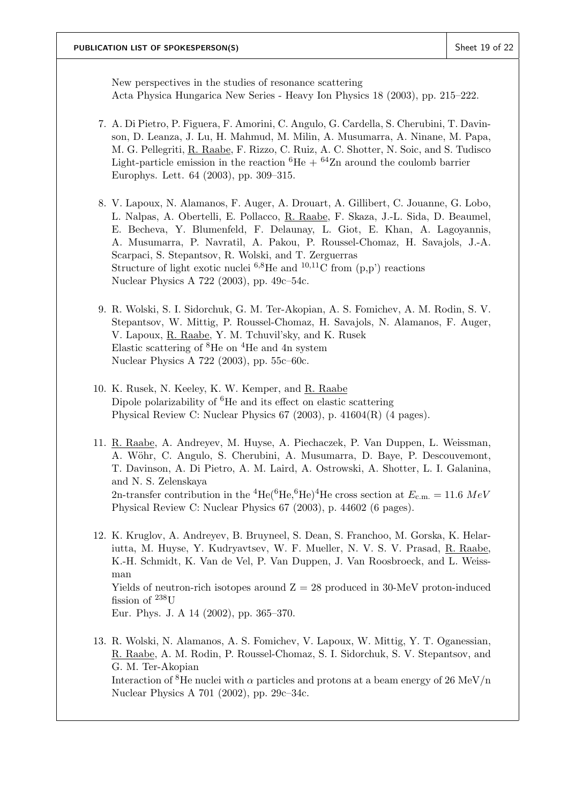New perspectives in the studies of resonance scattering Acta Physica Hungarica New Series - Heavy Ion Physics 18 (2003), pp. 215–222.

- 7. A. Di Pietro, P. Figuera, F. Amorini, C. Angulo, G. Cardella, S. Cherubini, T. Davinson, D. Leanza, J. Lu, H. Mahmud, M. Milin, A. Musumarra, A. Ninane, M. Papa, M. G. Pellegriti, R. Raabe, F. Rizzo, C. Ruiz, A. C. Shotter, N. Soic, and S. Tudisco Light-particle emission in the reaction  ${}^{6}$ He +  ${}^{64}$ Zn around the coulomb barrier Europhys. Lett. 64 (2003), pp. 309–315.
- 8. V. Lapoux, N. Alamanos, F. Auger, A. Drouart, A. Gillibert, C. Jouanne, G. Lobo, L. Nalpas, A. Obertelli, E. Pollacco, R. Raabe, F. Skaza, J.-L. Sida, D. Beaumel, E. Becheva, Y. Blumenfeld, F. Delaunay, L. Giot, E. Khan, A. Lagoyannis, A. Musumarra, P. Navratil, A. Pakou, P. Roussel-Chomaz, H. Savajols, J.-A. Scarpaci, S. Stepantsov, R. Wolski, and T. Zerguerras Structure of light exotic nuclei  $6.8$ He and  $10,11$ C from  $(p,p')$  reactions Nuclear Physics A 722 (2003), pp. 49c–54c.
- 9. R. Wolski, S. I. Sidorchuk, G. M. Ter-Akopian, A. S. Fomichev, A. M. Rodin, S. V. Stepantsov, W. Mittig, P. Roussel-Chomaz, H. Savajols, N. Alamanos, F. Auger, V. Lapoux, R. Raabe, Y. M. Tchuvil'sky, and K. Rusek Elastic scattering of  ${}^{8}$ He on  ${}^{4}$ He and 4n system Nuclear Physics A 722 (2003), pp. 55c–60c.
- 10. K. Rusek, N. Keeley, K. W. Kemper, and R. Raabe Dipole polarizability of  ${}^{6}$ He and its effect on elastic scattering Physical Review C: Nuclear Physics 67 (2003), p. 41604(R) (4 pages).
- 11. R. Raabe, A. Andreyev, M. Huyse, A. Piechaczek, P. Van Duppen, L. Weissman, A. Wöhr, C. Angulo, S. Cherubini, A. Musumarra, D. Baye, P. Descouvemont, T. Davinson, A. Di Pietro, A. M. Laird, A. Ostrowski, A. Shotter, L. I. Galanina, and N. S. Zelenskaya 2n-transfer contribution in the <sup>4</sup>He(<sup>6</sup>He,<sup>6</sup>He)<sup>4</sup>He cross section at  $E_{c.m.} = 11.6 \; MeV$ Physical Review C: Nuclear Physics 67 (2003), p. 44602 (6 pages).
- 12. K. Kruglov, A. Andreyev, B. Bruyneel, S. Dean, S. Franchoo, M. Gorska, K. Helariutta, M. Huyse, Y. Kudryavtsev, W. F. Mueller, N. V. S. V. Prasad, R. Raabe, K.-H. Schmidt, K. Van de Vel, P. Van Duppen, J. Van Roosbroeck, and L. Weissman Yields of neutron-rich isotopes around  $Z = 28$  produced in 30-MeV proton-induced fission of <sup>238</sup>U Eur. Phys. J. A 14 (2002), pp. 365–370.
- 13. R. Wolski, N. Alamanos, A. S. Fomichev, V. Lapoux, W. Mittig, Y. T. Oganessian, R. Raabe, A. M. Rodin, P. Roussel-Chomaz, S. I. Sidorchuk, S. V. Stepantsov, and G. M. Ter-Akopian Interaction of <sup>8</sup>He nuclei with  $\alpha$  particles and protons at a beam energy of 26 MeV/n Nuclear Physics A 701 (2002), pp. 29c–34c.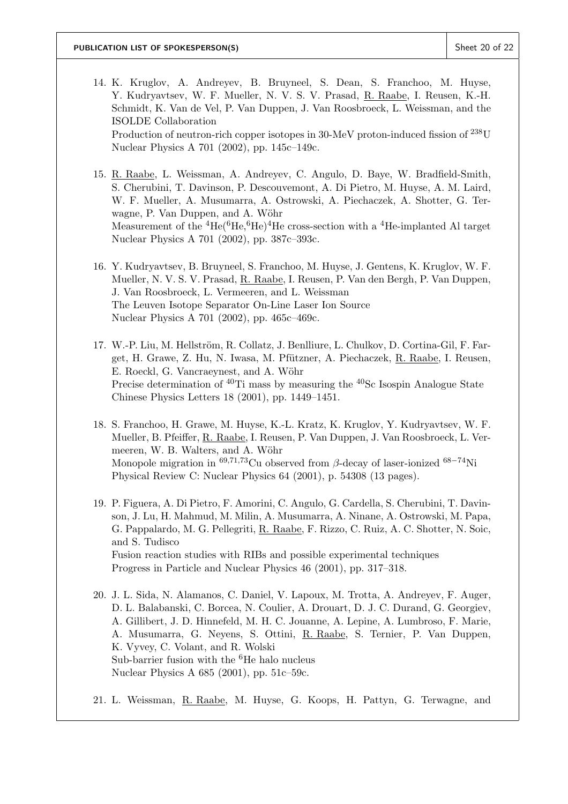- 14. K. Kruglov, A. Andreyev, B. Bruyneel, S. Dean, S. Franchoo, M. Huyse, Y. Kudryavtsev, W. F. Mueller, N. V. S. V. Prasad, R. Raabe, I. Reusen, K.-H. Schmidt, K. Van de Vel, P. Van Duppen, J. Van Roosbroeck, L. Weissman, and the ISOLDE Collaboration Production of neutron-rich copper isotopes in 30-MeV proton-induced fission of <sup>238</sup>U Nuclear Physics A 701 (2002), pp. 145c–149c.
- 15. R. Raabe, L. Weissman, A. Andreyev, C. Angulo, D. Baye, W. Bradfield-Smith, S. Cherubini, T. Davinson, P. Descouvemont, A. Di Pietro, M. Huyse, A. M. Laird, W. F. Mueller, A. Musumarra, A. Ostrowski, A. Piechaczek, A. Shotter, G. Terwagne, P. Van Duppen, and A. Wöhr Measurement of the  ${}^{4}He({}^{6}He, {}^{6}He)$ <sup>4</sup>He cross-section with a  ${}^{4}He$ -implanted Al target Nuclear Physics A 701 (2002), pp. 387c–393c.
- 16. Y. Kudryavtsev, B. Bruyneel, S. Franchoo, M. Huyse, J. Gentens, K. Kruglov, W. F. Mueller, N. V. S. V. Prasad, R. Raabe, I. Reusen, P. Van den Bergh, P. Van Duppen, J. Van Roosbroeck, L. Vermeeren, and L. Weissman The Leuven Isotope Separator On-Line Laser Ion Source Nuclear Physics A 701 (2002), pp. 465c–469c.
- 17. W.-P. Liu, M. Hellström, R. Collatz, J. Benlliure, L. Chulkov, D. Cortina-Gil, F. Farget, H. Grawe, Z. Hu, N. Iwasa, M. Pfützner, A. Piechaczek, R. Raabe, I. Reusen, E. Roeckl, G. Vancraeynest, and A. Wöhr Precise determination of  $^{40}$ Ti mass by measuring the  $^{40}$ Sc Isospin Analogue State Chinese Physics Letters 18 (2001), pp. 1449–1451.
- 18. S. Franchoo, H. Grawe, M. Huyse, K.-L. Kratz, K. Kruglov, Y. Kudryavtsev, W. F. Mueller, B. Pfeiffer, R. Raabe, I. Reusen, P. Van Duppen, J. Van Roosbroeck, L. Vermeeren, W. B. Walters, and A. Wöhr Monopole migration in  $^{69,71,73}$ Cu observed from β-decay of laser-ionized  $^{68-74}$ Ni Physical Review C: Nuclear Physics 64 (2001), p. 54308 (13 pages).
- 19. P. Figuera, A. Di Pietro, F. Amorini, C. Angulo, G. Cardella, S. Cherubini, T. Davinson, J. Lu, H. Mahmud, M. Milin, A. Musumarra, A. Ninane, A. Ostrowski, M. Papa, G. Pappalardo, M. G. Pellegriti, R. Raabe, F. Rizzo, C. Ruiz, A. C. Shotter, N. Soic, and S. Tudisco Fusion reaction studies with RIBs and possible experimental techniques Progress in Particle and Nuclear Physics 46 (2001), pp. 317–318.
- 20. J. L. Sida, N. Alamanos, C. Daniel, V. Lapoux, M. Trotta, A. Andreyev, F. Auger, D. L. Balabanski, C. Borcea, N. Coulier, A. Drouart, D. J. C. Durand, G. Georgiev, A. Gillibert, J. D. Hinnefeld, M. H. C. Jouanne, A. Lepine, A. Lumbroso, F. Marie, A. Musumarra, G. Neyens, S. Ottini, R. Raabe, S. Ternier, P. Van Duppen, K. Vyvey, C. Volant, and R. Wolski Sub-barrier fusion with the  ${}^{6}$ He halo nucleus Nuclear Physics A 685 (2001), pp. 51c–59c.
- 21. L. Weissman, R. Raabe, M. Huyse, G. Koops, H. Pattyn, G. Terwagne, and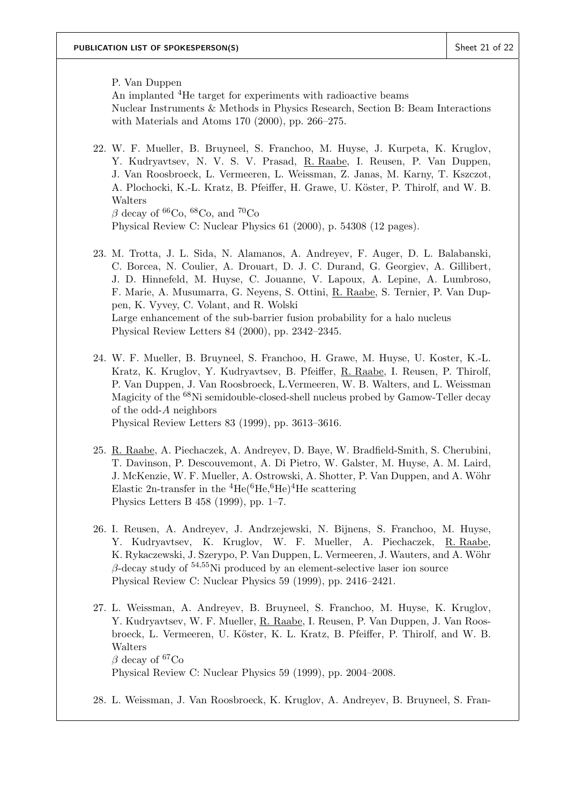P. Van Duppen An implanted <sup>4</sup>He target for experiments with radioactive beams Nuclear Instruments & Methods in Physics Research, Section B: Beam Interactions with Materials and Atoms 170 (2000), pp. 266–275.

- 22. W. F. Mueller, B. Bruyneel, S. Franchoo, M. Huyse, J. Kurpeta, K. Kruglov, Y. Kudryavtsev, N. V. S. V. Prasad, R. Raabe, I. Reusen, P. Van Duppen, J. Van Roosbroeck, L. Vermeeren, L. Weissman, Z. Janas, M. Karny, T. Kszczot, A. Plochocki, K.-L. Kratz, B. Pfeiffer, H. Grawe, U. Köster, P. Thirolf, and W. B. Walters  $β$  decay of <sup>66</sup>Co, <sup>68</sup>Co, and <sup>70</sup>Co
	- Physical Review C: Nuclear Physics 61 (2000), p. 54308 (12 pages).
- 23. M. Trotta, J. L. Sida, N. Alamanos, A. Andreyev, F. Auger, D. L. Balabanski, C. Borcea, N. Coulier, A. Drouart, D. J. C. Durand, G. Georgiev, A. Gillibert, J. D. Hinnefeld, M. Huyse, C. Jouanne, V. Lapoux, A. Lepine, A. Lumbroso, F. Marie, A. Musumarra, G. Neyens, S. Ottini, R. Raabe, S. Ternier, P. Van Duppen, K. Vyvey, C. Volant, and R. Wolski Large enhancement of the sub-barrier fusion probability for a halo nucleus Physical Review Letters 84 (2000), pp. 2342–2345.
- 24. W. F. Mueller, B. Bruyneel, S. Franchoo, H. Grawe, M. Huyse, U. Koster, K.-L. Kratz, K. Kruglov, Y. Kudryavtsev, B. Pfeiffer, R. Raabe, I. Reusen, P. Thirolf, P. Van Duppen, J. Van Roosbroeck, L.Vermeeren, W. B. Walters, and L. Weissman Magicity of the <sup>68</sup>Ni semidouble-closed-shell nucleus probed by Gamow-Teller decay of the odd-A neighbors Physical Review Letters 83 (1999), pp. 3613–3616.
- 25. R. Raabe, A. Piechaczek, A. Andreyev, D. Baye, W. Bradfield-Smith, S. Cherubini, T. Davinson, P. Descouvemont, A. Di Pietro, W. Galster, M. Huyse, A. M. Laird, J. McKenzie, W. F. Mueller, A. Ostrowski, A. Shotter, P. Van Duppen, and A. Wöhr Elastic 2n-transfer in the  ${}^{4}$ He $({}^{6}$ He, ${}^{6}$ He) ${}^{4}$ He scattering Physics Letters B 458 (1999), pp. 1–7.
- 26. I. Reusen, A. Andreyev, J. Andrzejewski, N. Bijnens, S. Franchoo, M. Huyse, Y. Kudryavtsev, K. Kruglov, W. F. Mueller, A. Piechaczek, R. Raabe, K. Rykaczewski, J. Szerypo, P. Van Duppen, L. Vermeeren, J. Wauters, and A. Wöhr  $\beta$ -decay study of <sup>54,55</sup>Ni produced by an element-selective laser ion source Physical Review C: Nuclear Physics 59 (1999), pp. 2416–2421.
- 27. L. Weissman, A. Andreyev, B. Bruyneel, S. Franchoo, M. Huyse, K. Kruglov, Y. Kudryavtsev, W. F. Mueller, R. Raabe, I. Reusen, P. Van Duppen, J. Van Roosbroeck, L. Vermeeren, U. Köster, K. L. Kratz, B. Pfeiffer, P. Thirolf, and W. B. Walters β decay of  ${}^{67}Co$ Physical Review C: Nuclear Physics 59 (1999), pp. 2004–2008.
- 28. L. Weissman, J. Van Roosbroeck, K. Kruglov, A. Andreyev, B. Bruyneel, S. Fran-